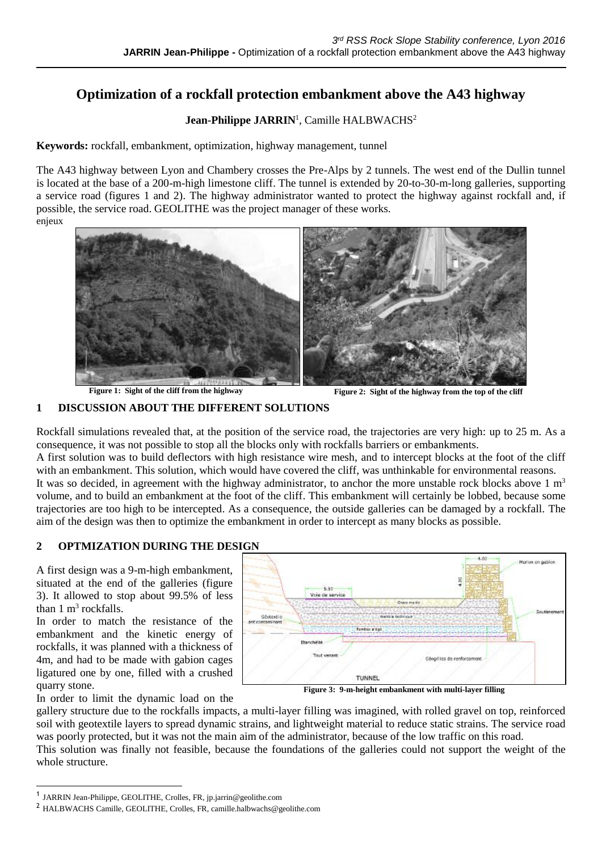# **Optimization of a rockfall protection embankment above the A43 highway**

## Jean-Philippe JARRIN<sup>1</sup>, Camille HALBWACHS<sup>2</sup>

**Keywords:** rockfall, embankment, optimization, highway management, tunnel

The A43 highway between Lyon and Chambery crosses the Pre-Alps by 2 tunnels. The west end of the Dullin tunnel is located at the base of a 200-m-high limestone cliff. The tunnel is extended by 20-to-30-m-long galleries, supporting a service road (figures 1 and 2). The highway administrator wanted to protect the highway against rockfall and, if possible, the service road. GEOLITHE was the project manager of these works.

enjeux



**Figure 1: Sight of the cliff from the highway Figure 2: Sight of the highway from the top of the cliff** 

#### **1 DISCUSSION ABOUT THE DIFFERENT SOLUTIONS**

Rockfall simulations revealed that, at the position of the service road, the trajectories are very high: up to 25 m. As a consequence, it was not possible to stop all the blocks only with rockfalls barriers or embankments.

A first solution was to build deflectors with high resistance wire mesh, and to intercept blocks at the foot of the cliff with an embankment. This solution, which would have covered the cliff, was unthinkable for environmental reasons. It was so decided, in agreement with the highway administrator, to anchor the more unstable rock blocks above  $1 \text{ m}^3$ 

volume, and to build an embankment at the foot of the cliff. This embankment will certainly be lobbed, because some trajectories are too high to be intercepted. As a consequence, the outside galleries can be damaged by a rockfall. The aim of the design was then to optimize the embankment in order to intercept as many blocks as possible.

#### **2 OPTMIZATION DURING THE DESIGN**

A first design was a 9-m-high embankment, situated at the end of the galleries (figure 3). It allowed to stop about 99.5% of less than  $1 \text{ m}^3$  rockfalls.

In order to match the resistance of the embankment and the kinetic energy of rockfalls, it was planned with a thickness of 4m, and had to be made with gabion cages ligatured one by one, filled with a crushed quarry stone.



**Figure 3: 9-m-height embankment with multi-layer filling**

In order to limit the dynamic load on the

 $\overline{a}$ 

gallery structure due to the rockfalls impacts, a multi-layer filling was imagined, with rolled gravel on top, reinforced soil with geotextile layers to spread dynamic strains, and lightweight material to reduce static strains. The service road was poorly protected, but it was not the main aim of the administrator, because of the low traffic on this road. This solution was finally not feasible, because the foundations of the galleries could not support the weight of the whole structure.

<sup>1</sup> JARRIN Jean-Philippe, GEOLITHE, Crolles, FR, jp.jarrin@geolithe.com

<sup>2</sup> HALBWACHS Camille, GEOLITHE, Crolles, FR, camille.halbwachs@geolithe.com